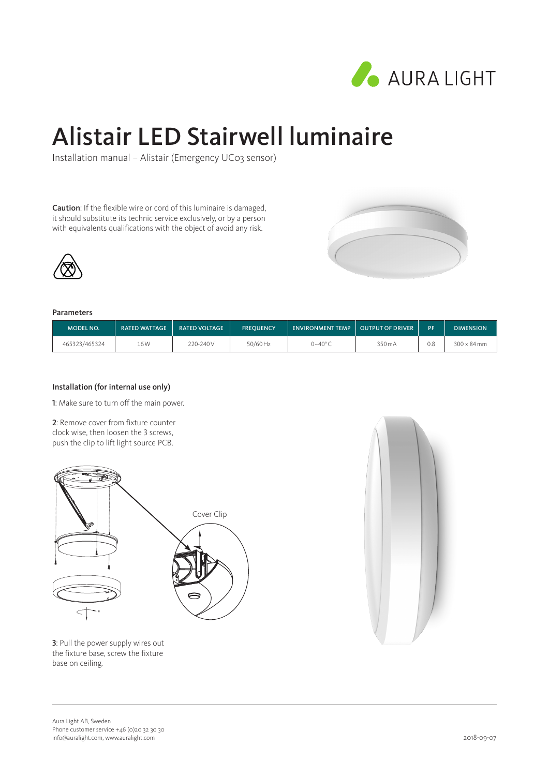

## Alistair LED Stairwell luminaire

Installation manual – Alistair (Emergency UC03 sensor)

Caution: If the flexible wire or cord of this luminaire is damaged, it should substitute its technic service exclusively, or by a person with equivalents qualifications with the object of avoid any risk.





#### Parameters

| <b>MODEL NO.</b> | <b>RATED WATTAGE</b> | <b>RATED VOLTAGE</b> | <b>FREOUENCY</b> | <b>ENVIRONMENT TEMP</b> | $\mid$ OUTPUT OF DRIVER | PF. | <b>DIMENSION</b> |
|------------------|----------------------|----------------------|------------------|-------------------------|-------------------------|-----|------------------|
| 465323/465324    | 16 W                 | 220-240 V            | 50/60 Hz         | $0 - 40^{\circ}$ C      | 350 mA                  | 0.8 | 300 x 84 mm      |

### Installation (for internal use only)

1: Make sure to turn off the main power.

2: Remove cover from fixture counter clock wise, then loosen the 3 screws, push the clip to lift light source PCB.





3: Pull the power supply wires out the fixture base, screw the fixture base on ceiling.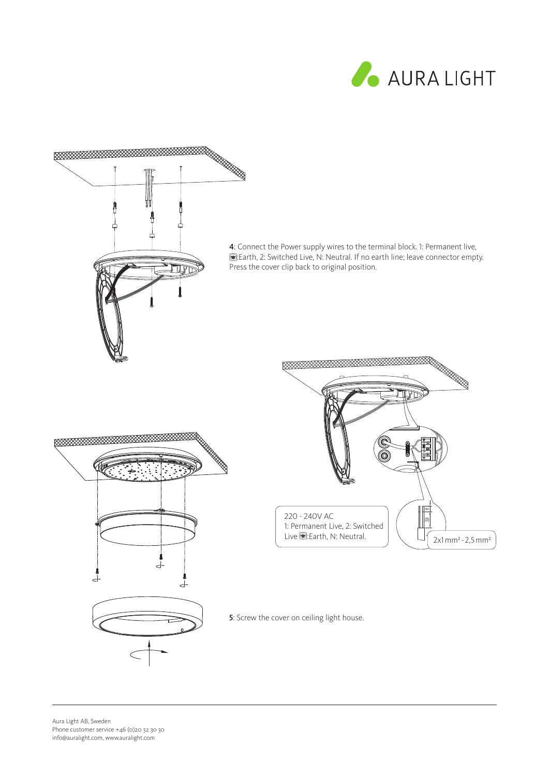



4: Connect the Power supply wires to the terminal block. 1: Permanent live, :Earth, 2: Switched Live, N: Neutral. If no earth line; leave connector empty. Press the cover clip back to original position.





5: Screw the cover on ceiling light house.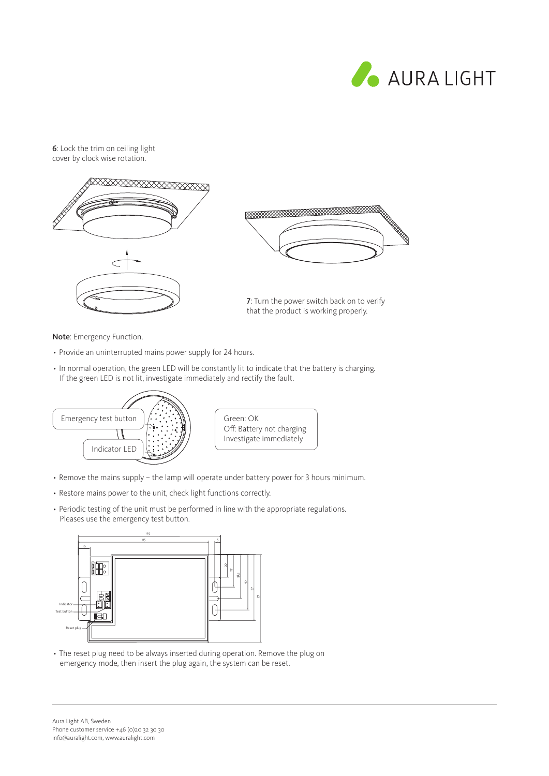

**6**: Lock the trim on ceiling light cover by clock wise rotation.





7: Turn the power switch back on to verify that the product is working properly.

Note: Emergency Function.

- � Provide an uninterrupted mains power supply for 24 hours.
- � In normal operation, the green LED will be constantly lit to indicate that the battery is charging. If the green LED is not lit, investigate immediately and rectify the fault.



- � Remove the mains supply the lamp will operate under battery power for 3 hours minimum.
- � Restore mains power to the unit, check light functions correctly.
- � Periodic testing of the unit must be performed in line with the appropriate regulations. Pleases use the emergency test button.



� The reset plug need to be always inserted during operation. Remove the plug on emergency mode, then insert the plug again, the system can be reset.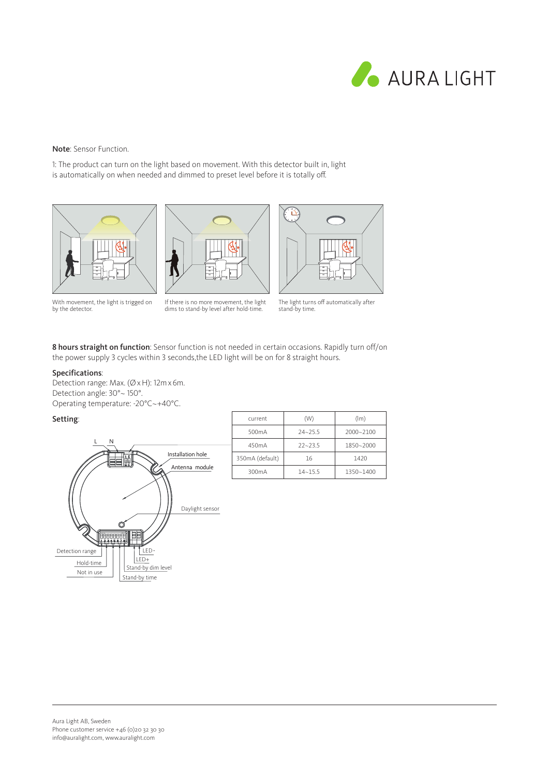

**Note**: Sensor Function.

1: The product can turn on the light based on movement. With this detector built in, light is automatically on when needed and dimmed to preset level before it is totally off.







With movement, the light is trigged on by the detector.

If there is no more movement, the light dims to stand-by level after hold-time.

The light turns off automatically after stand-by time.

8 hours straight on function: Sensor function is not needed in certain occasions. Rapidly turn off/on the power supply 3 cycles within 3 seconds,the LED light will be on for 8 straight hours.

### Specifications:

Detection range: Max.  $(\emptyset \times H)$ : 12m x 6m. Detection angle: 30°~ 150°. Operating temperature: -20°C~+40°C.

### Setting:



| current            | (W)         | (lm)          |  |  |  |
|--------------------|-------------|---------------|--|--|--|
| 500mA              | $74 - 75.5$ | $2000 - 2100$ |  |  |  |
| 450 <sub>m</sub> A | $22 - 23.5$ | 1850~2000     |  |  |  |
| 350mA (default)    | 16          | 1420          |  |  |  |
| 300mA              | $14 - 15.5$ | 1350~1400     |  |  |  |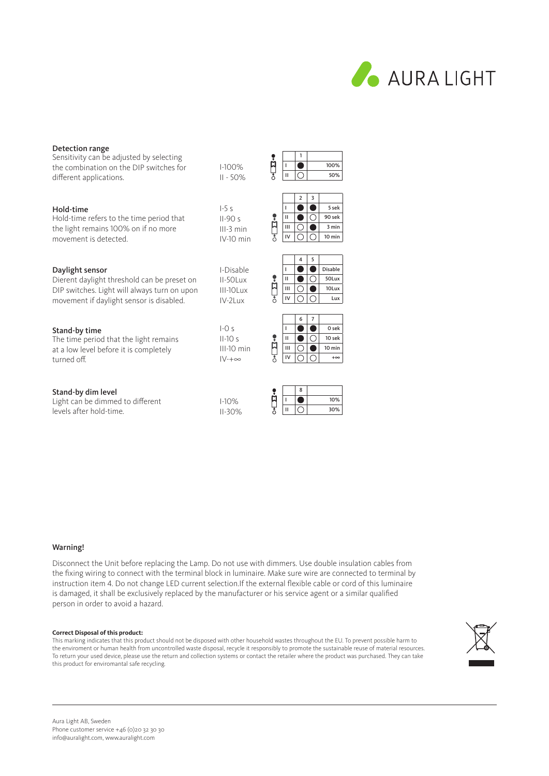

# Detection range

| Sensitivity can be adjusted by selecting     |              |                     |              | 1              |   |                |
|----------------------------------------------|--------------|---------------------|--------------|----------------|---|----------------|
| the combination on the DIP switches for      | $1-100%$     | Ŕ                   | т            |                |   | 100%           |
| different applications.                      | $II - 50%$   |                     | $\mathbf{H}$ | ⌒              |   | 50%            |
|                                              |              |                     |              |                |   |                |
|                                              |              |                     |              | $\overline{2}$ | 3 |                |
| Hold-time                                    | $1-5s$       |                     | ı            |                |   | 5 sek          |
| Hold-time refers to the time period that     | $II-90s$     | ę                   | $\mathbf{H}$ |                |   | 90 sek         |
| the light remains 100% on if no more         | $III-3 min$  | $\boxtimes$         | Ш            | $\mathcal{C}$  |   | 3 min          |
| movement is detected.                        | IV-10 min    |                     | IV           |                |   | $10$ min       |
|                                              |              |                     |              |                |   |                |
|                                              |              |                     |              | 4              | 5 |                |
| Daylight sensor                              | I-Disable    |                     | I            |                |   | <b>Disable</b> |
| Dierent daylight threshold can be preset on  | II-50Lux     | ŗ                   | Ш            |                |   | 50Lux          |
| DIP switches. Light will always turn on upon | III-10Lux    | p                   | Ш            |                |   | 10Lux          |
| movement if daylight sensor is disabled.     | IV-2Lux      |                     | IV           |                |   | Lux            |
|                                              |              |                     |              |                |   |                |
|                                              |              |                     |              | 6              | 7 |                |
| Stand-by time                                | $I-Os$       |                     | т            |                |   | 0 sek          |
| The time period that the light remains       | $II-10s$     | ę                   | $\mathbf{H}$ |                |   | 10 sek         |
| at a low level before it is completely       | III-10 min   | ដ                   | Ш            | ◯              |   | $10$ min       |
| turned off.                                  | $ V+ \infty$ | $\overline{\delta}$ | IV           |                |   | $+\infty$      |
|                                              |              |                     |              |                |   |                |
|                                              |              |                     |              |                |   |                |
| Chand budim loual                            |              |                     |              | 8              |   |                |

| Stand-Dy dilli level             |            |
|----------------------------------|------------|
| Light can be dimmed to different | $1-10%$    |
| levels after hold-time.          | $II - 30%$ |

|   | 8 |  |
|---|---|--|
|   |   |  |
| τ |   |  |

 $10%$ II 30%

#### Warning!

Disconnect the Unit before replacing the Lamp. Do not use with dimmers. Use double insulation cables from the fixing wiring to connect with the terminal block in luminaire. Make sure wire are connected to terminal by instruction item 4. Do not change LED current selection.If the external flexible cable or cord of this luminaire is damaged, it shall be exclusively replaced by the manufacturer or his service agent or a similar qualified person in order to avoid a hazard.

### **Correct Disposal of this product:**

This marking indicates that this product should not be disposed with other household wastes throughout the EU. To prevent possible harm to the enviroment or human health from uncontrolled waste disposal, recycle it responsibly to promote the sustainable reuse of material resources. To return your used device, please use the return and collection systems or contact the retailer where the product was purchased. They can take this product for enviromantal safe recycling.